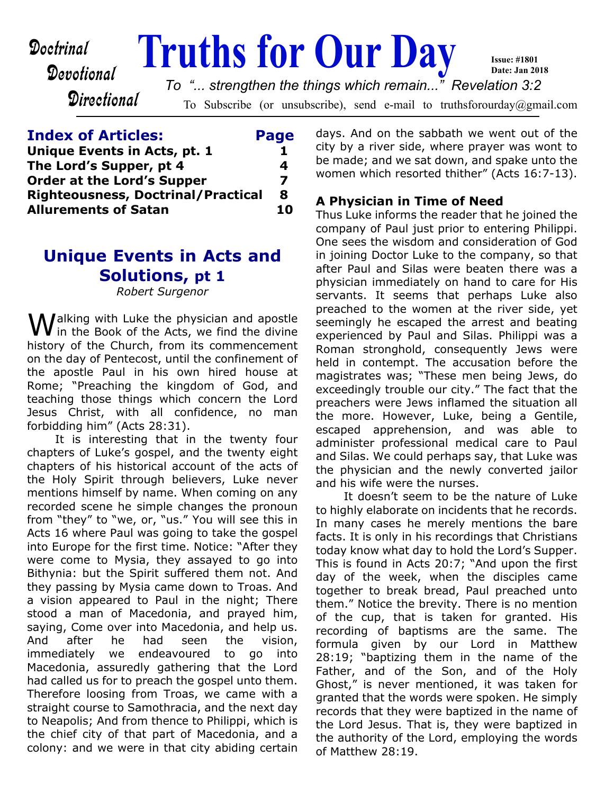Devotional

**Directional** 

**Doctrinal Truths for Our Day** 

*To "... strengthen the things which remain..." Revelation 3:2*

To Subscribe (or unsubscribe), send e-mail to truthsforourday@gmail.com

| <b>Index of Articles:</b>                 | Page |
|-------------------------------------------|------|
| Unique Events in Acts, pt. 1              |      |
| The Lord's Supper, pt 4                   | 4    |
| <b>Order at the Lord's Supper</b>         | 7    |
| <b>Righteousness, Doctrinal/Practical</b> | Я    |
| <b>Allurements of Satan</b>               | 10   |

## **Unique Events in Acts and Solutions, pt 1**

*Robert Surgenor*

Walking with Luke the physician and apostle<br>in the Book of the Acts, we find the divine history of the Church, from its commencement on the day of Pentecost, until the confinement of the apostle Paul in his own hired house at Rome; "Preaching the kingdom of God, and teaching those things which concern the Lord Jesus Christ, with all confidence, no man forbidding him" (Acts 28:31).

 It is interesting that in the twenty four chapters of Luke's gospel, and the twenty eight chapters of his historical account of the acts of the Holy Spirit through believers, Luke never mentions himself by name. When coming on any recorded scene he simple changes the pronoun from "they" to "we, or, "us." You will see this in Acts 16 where Paul was going to take the gospel into Europe for the first time. Notice: "After they were come to Mysia, they assayed to go into Bithynia: but the Spirit suffered them not. And they passing by Mysia came down to Troas. And a vision appeared to Paul in the night; There stood a man of Macedonia, and prayed him, saying, Come over into Macedonia, and help us. And after he had seen the vision, immediately we endeavoured to go into Macedonia, assuredly gathering that the Lord had called us for to preach the gospel unto them. Therefore loosing from Troas, we came with a straight course to Samothracia, and the next day to Neapolis; And from thence to Philippi, which is the chief city of that part of Macedonia, and a colony: and we were in that city abiding certain

days. And on the sabbath we went out of the city by a river side, where prayer was wont to be made; and we sat down, and spake unto the women which resorted thither" (Acts 16:7-13).

**Issue: #1801 Date: Jan 2018**

### **A Physician in Time of Need**

Thus Luke informs the reader that he joined the company of Paul just prior to entering Philippi. One sees the wisdom and consideration of God in joining Doctor Luke to the company, so that after Paul and Silas were beaten there was a physician immediately on hand to care for His servants. It seems that perhaps Luke also preached to the women at the river side, yet seemingly he escaped the arrest and beating experienced by Paul and Silas. Philippi was a Roman stronghold, consequently Jews were held in contempt. The accusation before the magistrates was; "These men being Jews, do exceedingly trouble our city." The fact that the preachers were Jews inflamed the situation all the more. However, Luke, being a Gentile, escaped apprehension, and was able to administer professional medical care to Paul and Silas. We could perhaps say, that Luke was the physician and the newly converted jailor and his wife were the nurses.

It doesn't seem to be the nature of Luke to highly elaborate on incidents that he records. In many cases he merely mentions the bare facts. It is only in his recordings that Christians today know what day to hold the Lord's Supper. This is found in Acts 20:7; "And upon the first day of the week, when the disciples came together to break bread, Paul preached unto them." Notice the brevity. There is no mention of the cup, that is taken for granted. His recording of baptisms are the same. The formula given by our Lord in Matthew 28:19; "baptizing them in the name of the Father, and of the Son, and of the Holy Ghost," is never mentioned, it was taken for granted that the words were spoken. He simply records that they were baptized in the name of the Lord Jesus. That is, they were baptized in the authority of the Lord, employing the words of Matthew 28:19.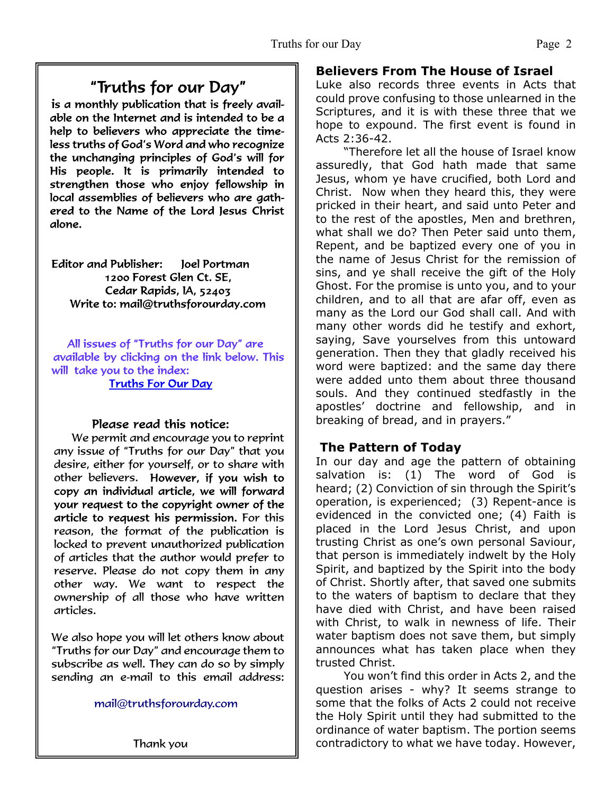## "Truths for our Day"

is a monthly publication that is freely available on the Internet and is intended to be a help to believers who appreciate the timeless truths of God's Word and who recognize the unchanging principles of God's will for His people. It is primarily intended to strengthen those who enjoy fellowship in local assemblies of believers who are gathered to the Name of the Lord Jesus Christ alone.

Editor and Publisher: loel Portman 1200 Forest Glen Ct. SE. Cedar Rapids, IA, 52403 Write to: mail@truthsforourday.com

All issues of "Truths for our Day" are available by clicking on the link below. This will take you to the index: **Truths For Our Day** 

#### Please read this notice:

We permit and encourage you to reprint any issue of "Truths for our Day" that you desire, either for yourself, or to share with other believers. However, if you wish to<br>copy an individual article, we will forward your request to the copyright owner of the article to request his permission. For this reason, the format of the publication is locked to prevent unauthorized publication of articles that the author would prefer to reserve. Please do not copy them in any other way. We want to respect the ownership of all those who have written articles.

 We also hope you will let others know about "Truths for our Day" and encourage them to subscribe as well. They can do so by simply sending an e-mail to this email address:

mail@truthsforourday.com

Thank you

### **Believers From The House of Israel**

Luke also records three events in Acts that could prove confusing to those unlearned in the Scriptures, and it is with these three that we hope to expound. The first event is found in Acts 2:36-42.

"Therefore let all the house of Israel know assuredly, that God hath made that same Jesus, whom ye have crucified, both Lord and Christ. Now when they heard this, they were pricked in their heart, and said unto Peter and to the rest of the apostles, Men and brethren, what shall we do? Then Peter said unto them, Repent, and be baptized every one of you in the name of Jesus Christ for the remission of sins, and ye shall receive the gift of the Holy Ghost. For the promise is unto you, and to your children, and to all that are afar off, even as many as the Lord our God shall call. And with many other words did he testify and exhort, saying, Save yourselves from this untoward generation. Then they that gladly received his word were baptized: and the same day there were added unto them about three thousand souls. And they continued stedfastly in the apostles' doctrine and fellowship, and in breaking of bread, and in prayers."

## **The Pattern of Today**

In our day and age the pattern of obtaining salvation is: (1) The word of God is heard; (2) Conviction of sin through the Spirit's operation, is experienced; (3) Repent-ance is evidenced in the convicted one; (4) Faith is placed in the Lord Jesus Christ, and upon trusting Christ as one's own personal Saviour, that person is immediately indwelt by the Holy Spirit, and baptized by the Spirit into the body of Christ. Shortly after, that saved one submits to the waters of baptism to declare that they have died with Christ, and have been raised with Christ, to walk in newness of life. Their water baptism does not save them, but simply announces what has taken place when they trusted Christ.

You won't find this order in Acts 2, and the question arises - why? It seems strange to some that the folks of Acts 2 could not receive the Holy Spirit until they had submitted to the ordinance of water baptism. The portion seems contradictory to what we have today. However,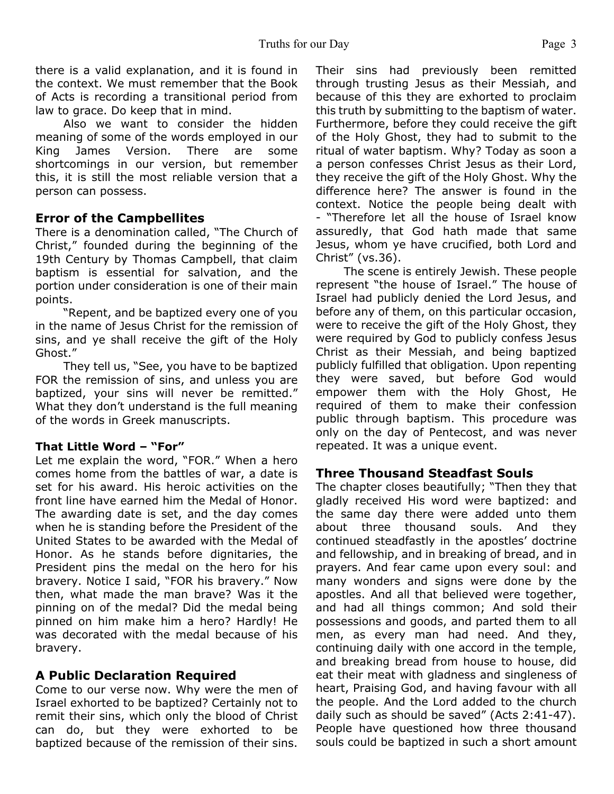there is a valid explanation, and it is found in the context. We must remember that the Book of Acts is recording a transitional period from law to grace. Do keep that in mind.

Also we want to consider the hidden meaning of some of the words employed in our King James Version. There are some shortcomings in our version, but remember this, it is still the most reliable version that a person can possess.

#### **Error of the Campbellites**

There is a denomination called, "The Church of Christ," founded during the beginning of the 19th Century by Thomas Campbell, that claim baptism is essential for salvation, and the portion under consideration is one of their main points.

"Repent, and be baptized every one of you in the name of Jesus Christ for the remission of sins, and ye shall receive the gift of the Holy Ghost."

They tell us, "See, you have to be baptized FOR the remission of sins, and unless you are baptized, your sins will never be remitted." What they don't understand is the full meaning of the words in Greek manuscripts.

#### **That Little Word – "For"**

Let me explain the word, "FOR." When a hero comes home from the battles of war, a date is set for his award. His heroic activities on the front line have earned him the Medal of Honor. The awarding date is set, and the day comes when he is standing before the President of the United States to be awarded with the Medal of Honor. As he stands before dignitaries, the President pins the medal on the hero for his bravery. Notice I said, "FOR his bravery." Now then, what made the man brave? Was it the pinning on of the medal? Did the medal being pinned on him make him a hero? Hardly! He was decorated with the medal because of his bravery.

#### **A Public Declaration Required**

Come to our verse now. Why were the men of Israel exhorted to be baptized? Certainly not to remit their sins, which only the blood of Christ can do, but they were exhorted to be baptized because of the remission of their sins.

Their sins had previously been remitted through trusting Jesus as their Messiah, and because of this they are exhorted to proclaim this truth by submitting to the baptism of water. Furthermore, before they could receive the gift of the Holy Ghost, they had to submit to the ritual of water baptism. Why? Today as soon a a person confesses Christ Jesus as their Lord, they receive the gift of the Holy Ghost. Why the difference here? The answer is found in the context. Notice the people being dealt with - "Therefore let all the house of Israel know assuredly, that God hath made that same Jesus, whom ye have crucified, both Lord and Christ" (vs.36).

The scene is entirely Jewish. These people represent "the house of Israel." The house of Israel had publicly denied the Lord Jesus, and before any of them, on this particular occasion, were to receive the gift of the Holy Ghost, they were required by God to publicly confess Jesus Christ as their Messiah, and being baptized publicly fulfilled that obligation. Upon repenting they were saved, but before God would empower them with the Holy Ghost, He required of them to make their confession public through baptism. This procedure was only on the day of Pentecost, and was never repeated. It was a unique event.

#### **Three Thousand Steadfast Souls**

The chapter closes beautifully; "Then they that gladly received His word were baptized: and the same day there were added unto them about three thousand souls. And they continued steadfastly in the apostles' doctrine and fellowship, and in breaking of bread, and in prayers. And fear came upon every soul: and many wonders and signs were done by the apostles. And all that believed were together, and had all things common; And sold their possessions and goods, and parted them to all men, as every man had need. And they, continuing daily with one accord in the temple, and breaking bread from house to house, did eat their meat with gladness and singleness of heart, Praising God, and having favour with all the people. And the Lord added to the church daily such as should be saved" (Acts 2:41-47). People have questioned how three thousand souls could be baptized in such a short amount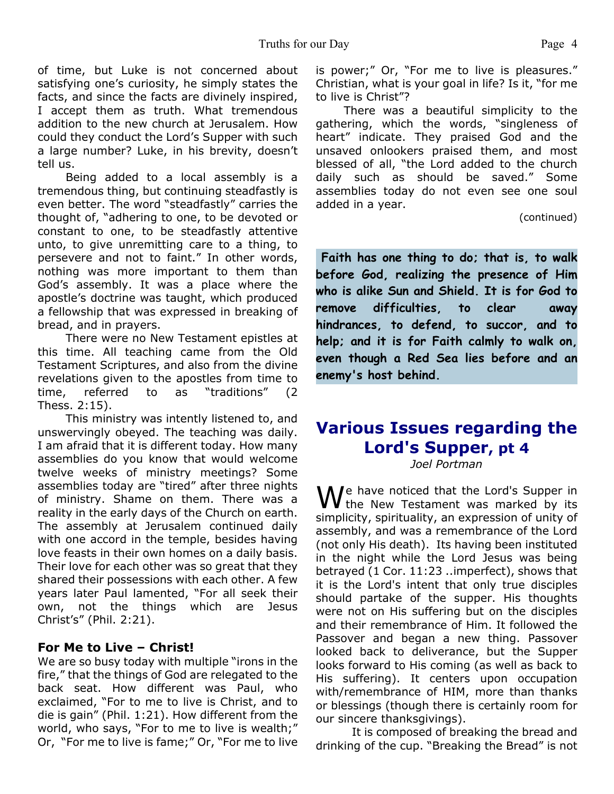of time, but Luke is not concerned about satisfying one's curiosity, he simply states the facts, and since the facts are divinely inspired, I accept them as truth. What tremendous addition to the new church at Jerusalem. How could they conduct the Lord's Supper with such a large number? Luke, in his brevity, doesn't tell us.

Being added to a local assembly is a tremendous thing, but continuing steadfastly is even better. The word "steadfastly" carries the thought of, "adhering to one, to be devoted or constant to one, to be steadfastly attentive unto, to give unremitting care to a thing, to persevere and not to faint." In other words, nothing was more important to them than God's assembly. It was a place where the apostle's doctrine was taught, which produced a fellowship that was expressed in breaking of bread, and in prayers.

There were no New Testament epistles at this time. All teaching came from the Old Testament Scriptures, and also from the divine revelations given to the apostles from time to time, referred to as "traditions" (2 Thess. 2:15).

This ministry was intently listened to, and unswervingly obeyed. The teaching was daily. I am afraid that it is different today. How many assemblies do you know that would welcome twelve weeks of ministry meetings? Some assemblies today are "tired" after three nights of ministry. Shame on them. There was a reality in the early days of the Church on earth. The assembly at Jerusalem continued daily with one accord in the temple, besides having love feasts in their own homes on a daily basis. Their love for each other was so great that they shared their possessions with each other. A few years later Paul lamented, "For all seek their own, not the things which are Jesus Christ's" (Phil. 2:21).

#### **For Me to Live – Christ!**

We are so busy today with multiple "irons in the fire," that the things of God are relegated to the back seat. How different was Paul, who exclaimed, "For to me to live is Christ, and to die is gain" (Phil. 1:21). How different from the world, who says, "For to me to live is wealth;" Or, "For me to live is fame;" Or, "For me to live is power;" Or, "For me to live is pleasures." Christian, what is your goal in life? Is it, "for me to live is Christ"?

There was a beautiful simplicity to the gathering, which the words, "singleness of heart" indicate. They praised God and the unsaved onlookers praised them, and most blessed of all, "the Lord added to the church daily such as should be saved." Some assemblies today do not even see one soul added in a year.

(continued)

 **Faith has one thing to do; that is, to walk before God, realizing the presence of Him who is alike Sun and Shield. It is for God to remove difficulties, to clear away hindrances, to defend, to succor, and to help; and it is for Faith calmly to walk on, even though a Red Sea lies before and an enemy's host behind.**

# **Various Issues regarding the Lord's Supper, pt 4**

*Joel Portman*

We have noticed that the Lord's Supper in<br>the New Testament was marked by its simplicity, spirituality, an expression of unity of assembly, and was a remembrance of the Lord (not only His death). Its having been instituted in the night while the Lord Jesus was being betrayed (1 Cor. 11:23 ..imperfect), shows that it is the Lord's intent that only true disciples should partake of the supper. His thoughts were not on His suffering but on the disciples and their remembrance of Him. It followed the Passover and began a new thing. Passover looked back to deliverance, but the Supper looks forward to His coming (as well as back to His suffering). It centers upon occupation with/remembrance of HIM, more than thanks or blessings (though there is certainly room for our sincere thanksgivings).

 It is composed of breaking the bread and drinking of the cup. "Breaking the Bread" is not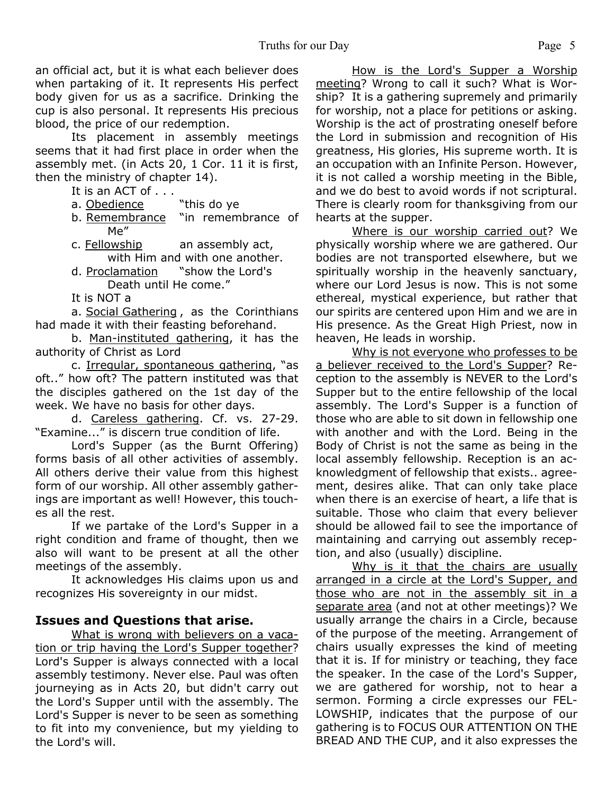an official act, but it is what each believer does when partaking of it. It represents His perfect body given for us as a sacrifice. Drinking the cup is also personal. It represents His precious blood, the price of our redemption.

 Its placement in assembly meetings seems that it had first place in order when the assembly met. (in Acts 20, 1 Cor. 11 it is first, then the ministry of chapter 14).

- It is an ACT of . . .
- a. Obedience "this do ye
- b. Remembrance "in remembrance of Me"
- c. Fellowship an assembly act, with Him and with one another.
- d. Proclamation "show the Lord's Death until He come."
- It is NOT a

 a. Social Gathering , as the Corinthians had made it with their feasting beforehand.

 b. Man-instituted gathering, it has the authority of Christ as Lord

 c. Irregular, spontaneous gathering, "as oft.." how oft? The pattern instituted was that the disciples gathered on the 1st day of the week. We have no basis for other days.

 d. Careless gathering. Cf. vs. 27-29. "Examine..." is discern true condition of life.

 Lord's Supper (as the Burnt Offering) forms basis of all other activities of assembly. All others derive their value from this highest form of our worship. All other assembly gatherings are important as well! However, this touches all the rest.

 If we partake of the Lord's Supper in a right condition and frame of thought, then we also will want to be present at all the other meetings of the assembly.

 It acknowledges His claims upon us and recognizes His sovereignty in our midst.

#### **Issues and Questions that arise.**

What is wrong with believers on a vacation or trip having the Lord's Supper together? Lord's Supper is always connected with a local assembly testimony. Never else. Paul was often journeying as in Acts 20, but didn't carry out the Lord's Supper until with the assembly. The Lord's Supper is never to be seen as something to fit into my convenience, but my yielding to the Lord's will.

How is the Lord's Supper a Worship meeting? Wrong to call it such? What is Worship? It is a gathering supremely and primarily for worship, not a place for petitions or asking. Worship is the act of prostrating oneself before the Lord in submission and recognition of His greatness, His glories, His supreme worth. It is an occupation with an Infinite Person. However, it is not called a worship meeting in the Bible, and we do best to avoid words if not scriptural. There is clearly room for thanksgiving from our hearts at the supper.

Where is our worship carried out? We physically worship where we are gathered. Our bodies are not transported elsewhere, but we spiritually worship in the heavenly sanctuary, where our Lord Jesus is now. This is not some ethereal, mystical experience, but rather that our spirits are centered upon Him and we are in His presence. As the Great High Priest, now in heaven, He leads in worship.

Why is not everyone who professes to be a believer received to the Lord's Supper? Reception to the assembly is NEVER to the Lord's Supper but to the entire fellowship of the local assembly. The Lord's Supper is a function of those who are able to sit down in fellowship one with another and with the Lord. Being in the Body of Christ is not the same as being in the local assembly fellowship. Reception is an acknowledgment of fellowship that exists.. agreement, desires alike. That can only take place when there is an exercise of heart, a life that is suitable. Those who claim that every believer should be allowed fail to see the importance of maintaining and carrying out assembly reception, and also (usually) discipline.

Why is it that the chairs are usually arranged in a circle at the Lord's Supper, and those who are not in the assembly sit in a separate area (and not at other meetings)? We usually arrange the chairs in a Circle, because of the purpose of the meeting. Arrangement of chairs usually expresses the kind of meeting that it is. If for ministry or teaching, they face the speaker. In the case of the Lord's Supper, we are gathered for worship, not to hear a sermon. Forming a circle expresses our FEL-LOWSHIP, indicates that the purpose of our gathering is to FOCUS OUR ATTENTION ON THE BREAD AND THE CUP, and it also expresses the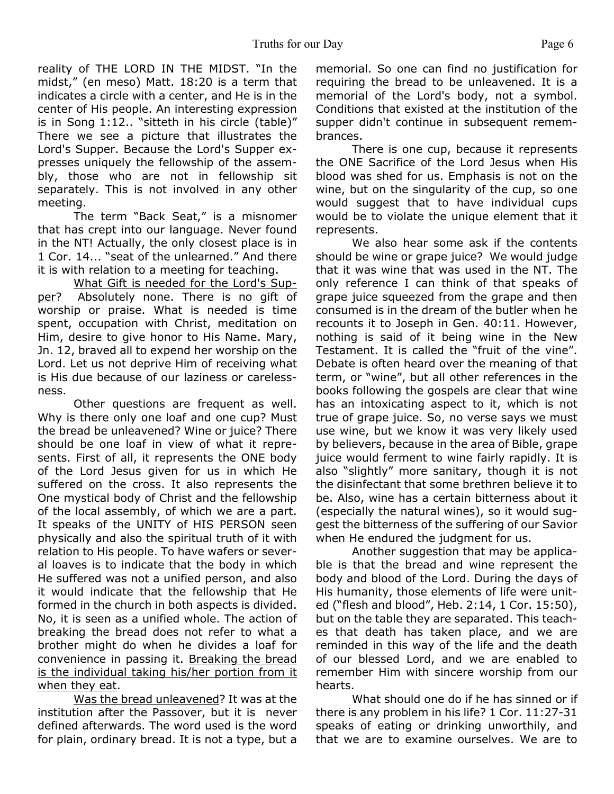reality of THE LORD IN THE MIDST. "In the midst," (en meso) Matt. 18:20 is a term that indicates a circle with a center, and He is in the center of His people. An interesting expression is in Song 1:12.. "sitteth in his circle (table)" There we see a picture that illustrates the Lord's Supper. Because the Lord's Supper expresses uniquely the fellowship of the assembly, those who are not in fellowship sit separately. This is not involved in any other meeting.

 The term "Back Seat," is a misnomer that has crept into our language. Never found in the NT! Actually, the only closest place is in 1 Cor. 14... "seat of the unlearned." And there it is with relation to a meeting for teaching.

What Gift is needed for the Lord's Supper? Absolutely none. There is no gift of worship or praise. What is needed is time spent, occupation with Christ, meditation on Him, desire to give honor to His Name. Mary, Jn. 12, braved all to expend her worship on the Lord. Let us not deprive Him of receiving what is His due because of our laziness or carelessness.

 Other questions are frequent as well. Why is there only one loaf and one cup? Must the bread be unleavened? Wine or juice? There should be one loaf in view of what it represents. First of all, it represents the ONE body of the Lord Jesus given for us in which He suffered on the cross. It also represents the One mystical body of Christ and the fellowship of the local assembly, of which we are a part. It speaks of the UNITY of HIS PERSON seen physically and also the spiritual truth of it with relation to His people. To have wafers or several loaves is to indicate that the body in which He suffered was not a unified person, and also it would indicate that the fellowship that He formed in the church in both aspects is divided. No, it is seen as a unified whole. The action of breaking the bread does not refer to what a brother might do when he divides a loaf for convenience in passing it. Breaking the bread is the individual taking his/her portion from it when they eat.

Was the bread unleavened? It was at the institution after the Passover, but it is never defined afterwards. The word used is the word for plain, ordinary bread. It is not a type, but a

memorial. So one can find no justification for requiring the bread to be unleavened. It is a memorial of the Lord's body, not a symbol. Conditions that existed at the institution of the supper didn't continue in subsequent remembrances.

 There is one cup, because it represents the ONE Sacrifice of the Lord Jesus when His blood was shed for us. Emphasis is not on the wine, but on the singularity of the cup, so one would suggest that to have individual cups would be to violate the unique element that it represents.

 We also hear some ask if the contents should be wine or grape juice? We would judge that it was wine that was used in the NT. The only reference I can think of that speaks of grape juice squeezed from the grape and then consumed is in the dream of the butler when he recounts it to Joseph in Gen. 40:11. However, nothing is said of it being wine in the New Testament. It is called the "fruit of the vine". Debate is often heard over the meaning of that term, or "wine", but all other references in the books following the gospels are clear that wine has an intoxicating aspect to it, which is not true of grape juice. So, no verse says we must use wine, but we know it was very likely used by believers, because in the area of Bible, grape juice would ferment to wine fairly rapidly. It is also "slightly" more sanitary, though it is not the disinfectant that some brethren believe it to be. Also, wine has a certain bitterness about it (especially the natural wines), so it would suggest the bitterness of the suffering of our Savior when He endured the judgment for us.

 Another suggestion that may be applicable is that the bread and wine represent the body and blood of the Lord. During the days of His humanity, those elements of life were united ("flesh and blood", Heb. 2:14, 1 Cor. 15:50), but on the table they are separated. This teaches that death has taken place, and we are reminded in this way of the life and the death of our blessed Lord, and we are enabled to remember Him with sincere worship from our hearts.

 What should one do if he has sinned or if there is any problem in his life? 1 Cor. 11:27-31 speaks of eating or drinking unworthily, and that we are to examine ourselves. We are to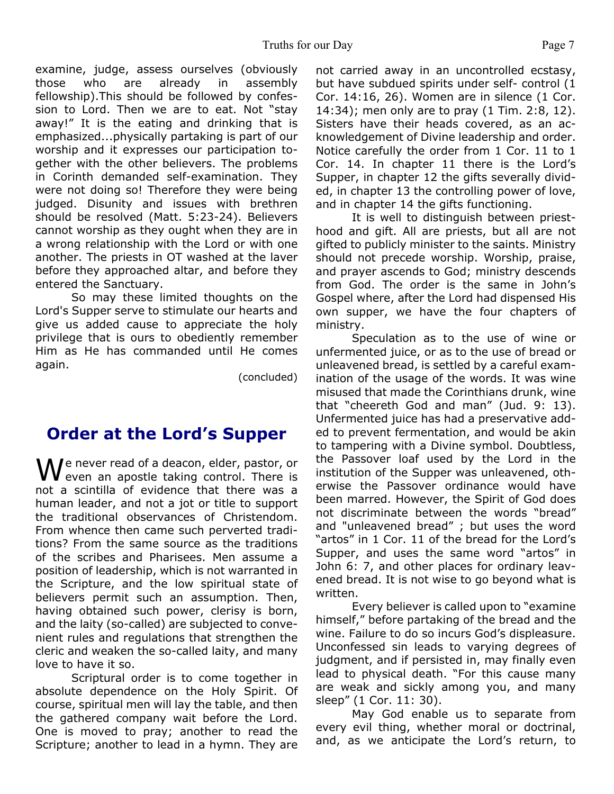examine, judge, assess ourselves (obviously those who are already in assembly fellowship).This should be followed by confession to Lord. Then we are to eat. Not "stay away!" It is the eating and drinking that is emphasized...physically partaking is part of our worship and it expresses our participation together with the other believers. The problems in Corinth demanded self-examination. They were not doing so! Therefore they were being judged. Disunity and issues with brethren should be resolved (Matt. 5:23-24). Believers cannot worship as they ought when they are in a wrong relationship with the Lord or with one another. The priests in OT washed at the laver before they approached altar, and before they entered the Sanctuary.

So may these limited thoughts on the Lord's Supper serve to stimulate our hearts and give us added cause to appreciate the holy privilege that is ours to obediently remember Him as He has commanded until He comes again.

(concluded)

## **Order at the Lord's Supper**

M Je never read of a deacon, elder, pastor, or **V** even an apostle taking control. There is not a scintilla of evidence that there was a human leader, and not a jot or title to support the traditional observances of Christendom. From whence then came such perverted traditions? From the same source as the traditions of the scribes and Pharisees. Men assume a position of leadership, which is not warranted in the Scripture, and the low spiritual state of believers permit such an assumption. Then, having obtained such power, clerisy is born, and the laity (so-called) are subjected to convenient rules and regulations that strengthen the cleric and weaken the so-called laity, and many love to have it so.

Scriptural order is to come together in absolute dependence on the Holy Spirit. Of course, spiritual men will lay the table, and then the gathered company wait before the Lord. One is moved to pray; another to read the Scripture; another to lead in a hymn. They are

not carried away in an uncontrolled ecstasy, but have subdued spirits under self- control (1 Cor. 14:16, 26). Women are in silence (1 Cor. 14:34); men only are to pray (1 Tim. 2:8, 12). Sisters have their heads covered, as an acknowledgement of Divine leadership and order. Notice carefully the order from 1 Cor. 11 to 1 Cor. 14. In chapter 11 there is the Lord's Supper, in chapter 12 the gifts severally divided, in chapter 13 the controlling power of love, and in chapter 14 the gifts functioning.

It is well to distinguish between priesthood and gift. All are priests, but all are not gifted to publicly minister to the saints. Ministry should not precede worship. Worship, praise, and prayer ascends to God; ministry descends from God. The order is the same in John's Gospel where, after the Lord had dispensed His own supper, we have the four chapters of ministry.

Speculation as to the use of wine or unfermented juice, or as to the use of bread or unleavened bread, is settled by a careful examination of the usage of the words. It was wine misused that made the Corinthians drunk, wine that "cheereth God and man" (Jud. 9: 13). Unfermented juice has had a preservative added to prevent fermentation, and would be akin to tampering with a Divine symbol. Doubtless, the Passover loaf used by the Lord in the institution of the Supper was unleavened, otherwise the Passover ordinance would have been marred. However, the Spirit of God does not discriminate between the words "bread" and "unleavened bread" ; but uses the word "artos" in 1 Cor. 11 of the bread for the Lord's Supper, and uses the same word "artos" in John 6: 7, and other places for ordinary leavened bread. It is not wise to go beyond what is written.

Every believer is called upon to "examine himself," before partaking of the bread and the wine. Failure to do so incurs God's displeasure. Unconfessed sin leads to varying degrees of judgment, and if persisted in, may finally even lead to physical death. "For this cause many are weak and sickly among you, and many sleep" (1 Cor. 11: 30).

May God enable us to separate from every evil thing, whether moral or doctrinal, and, as we anticipate the Lord's return, to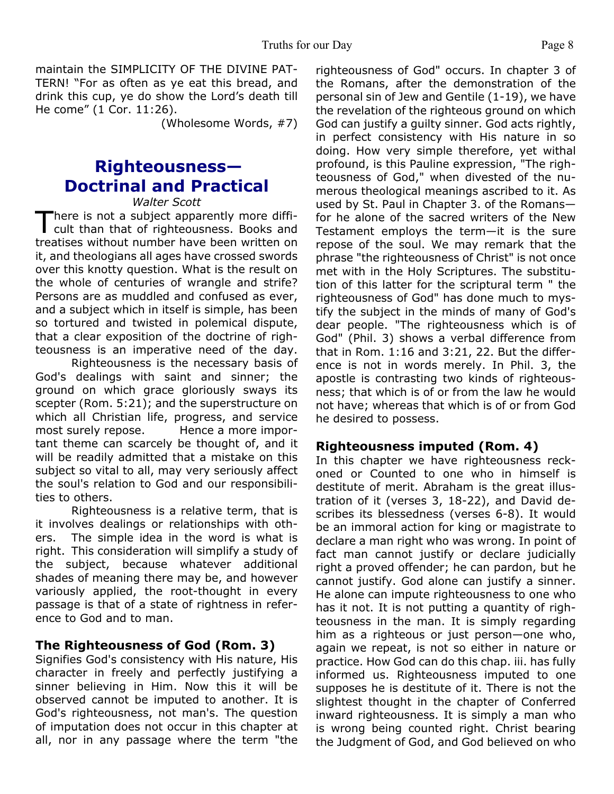maintain the SIMPLICITY OF THE DIVINE PAT-TERN! "For as often as ye eat this bread, and drink this cup, ye do show the Lord's death till He come" (1 Cor. 11:26).

(Wholesome Words, #7)

## **Righteousness— Doctrinal and Practical**

*Walter Scott*

There is not a subject apparently more diffi-<br>cult than that of righteousness. Books and There is not a subject apparently more diffitreatises without number have been written on it, and theologians all ages have crossed swords over this knotty question. What is the result on the whole of centuries of wrangle and strife? Persons are as muddled and confused as ever, and a subject which in itself is simple, has been so tortured and twisted in polemical dispute, that a clear exposition of the doctrine of righteousness is an imperative need of the day.

 Righteousness is the necessary basis of God's dealings with saint and sinner; the ground on which grace gloriously sways its scepter (Rom. 5:21); and the superstructure on which all Christian life, progress, and service most surely repose. Hence a more important theme can scarcely be thought of, and it will be readily admitted that a mistake on this subject so vital to all, may very seriously affect the soul's relation to God and our responsibilities to others.

Righteousness is a relative term, that is it involves dealings or relationships with others. The simple idea in the word is what is right. This consideration will simplify a study of the subject, because whatever additional shades of meaning there may be, and however variously applied, the root-thought in every passage is that of a state of rightness in reference to God and to man.

#### **The Righteousness of God (Rom. 3)**

Signifies God's consistency with His nature, His character in freely and perfectly justifying a sinner believing in Him. Now this it will be observed cannot be imputed to another. It is God's righteousness, not man's. The question of imputation does not occur in this chapter at all, nor in any passage where the term "the righteousness of God" occurs. In chapter 3 of the Romans, after the demonstration of the personal sin of Jew and Gentile (1-19), we have the revelation of the righteous ground on which God can justify a guilty sinner. God acts rightly, in perfect consistency with His nature in so doing. How very simple therefore, yet withal profound, is this Pauline expression, "The righteousness of God," when divested of the numerous theological meanings ascribed to it. As used by St. Paul in Chapter 3. of the Romans for he alone of the sacred writers of the New Testament employs the term—it is the sure repose of the soul. We may remark that the phrase "the righteousness of Christ" is not once met with in the Holy Scriptures. The substitution of this latter for the scriptural term " the righteousness of God" has done much to mystify the subject in the minds of many of God's dear people. "The righteousness which is of God" (Phil. 3) shows a verbal difference from that in Rom. 1:16 and 3:21, 22. But the difference is not in words merely. In Phil. 3, the apostle is contrasting two kinds of righteousness; that which is of or from the law he would not have; whereas that which is of or from God he desired to possess.

#### **Righteousness imputed (Rom. 4)**

In this chapter we have righteousness reckoned or Counted to one who in himself is destitute of merit. Abraham is the great illustration of it (verses 3, 18-22), and David describes its blessedness (verses 6-8). It would be an immoral action for king or magistrate to declare a man right who was wrong. In point of fact man cannot justify or declare judicially right a proved offender; he can pardon, but he cannot justify. God alone can justify a sinner. He alone can impute righteousness to one who has it not. It is not putting a quantity of righteousness in the man. It is simply regarding him as a righteous or just person—one who, again we repeat, is not so either in nature or practice. How God can do this chap. iii. has fully informed us. Righteousness imputed to one supposes he is destitute of it. There is not the slightest thought in the chapter of Conferred inward righteousness. It is simply a man who is wrong being counted right. Christ bearing the Judgment of God, and God believed on who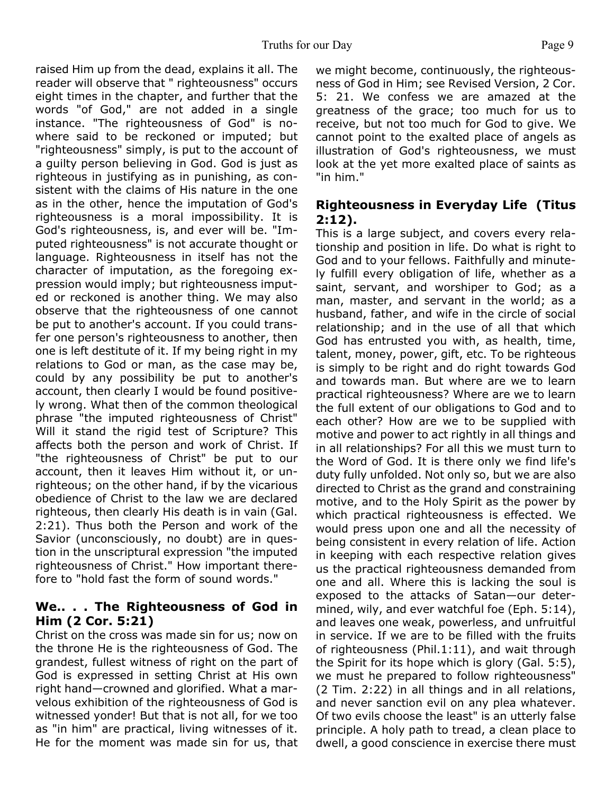raised Him up from the dead, explains it all. The reader will observe that " righteousness" occurs eight times in the chapter, and further that the words "of God," are not added in a single instance. "The righteousness of God" is nowhere said to be reckoned or imputed; but "righteousness" simply, is put to the account of a guilty person believing in God. God is just as righteous in justifying as in punishing, as consistent with the claims of His nature in the one as in the other, hence the imputation of God's righteousness is a moral impossibility. It is God's righteousness, is, and ever will be. "Imputed righteousness" is not accurate thought or language. Righteousness in itself has not the character of imputation, as the foregoing expression would imply; but righteousness imputed or reckoned is another thing. We may also observe that the righteousness of one cannot be put to another's account. If you could transfer one person's righteousness to another, then one is left destitute of it. If my being right in my relations to God or man, as the case may be, could by any possibility be put to another's account, then clearly I would be found positively wrong. What then of the common theological phrase "the imputed righteousness of Christ" Will it stand the rigid test of Scripture? This affects both the person and work of Christ. If "the righteousness of Christ" be put to our account, then it leaves Him without it, or unrighteous; on the other hand, if by the vicarious obedience of Christ to the law we are declared righteous, then clearly His death is in vain (Gal. 2:21). Thus both the Person and work of the Savior (unconsciously, no doubt) are in question in the unscriptural expression "the imputed righteousness of Christ." How important therefore to "hold fast the form of sound words."

## **We.. . . The Righteousness of God in Him (2 Cor. 5:21)**

Christ on the cross was made sin for us; now on the throne He is the righteousness of God. The grandest, fullest witness of right on the part of God is expressed in setting Christ at His own right hand—crowned and glorified. What a marvelous exhibition of the righteousness of God is witnessed yonder! But that is not all, for we too as "in him" are practical, living witnesses of it. He for the moment was made sin for us, that

we might become, continuously, the righteousness of God in Him; see Revised Version, 2 Cor. 5: 21. We confess we are amazed at the greatness of the grace; too much for us to receive, but not too much for God to give. We cannot point to the exalted place of angels as illustration of God's righteousness, we must look at the yet more exalted place of saints as "in him."

### **Righteousness in Everyday Life (Titus 2:12).**

This is a large subject, and covers every relationship and position in life. Do what is right to God and to your fellows. Faithfully and minutely fulfill every obligation of life, whether as a saint, servant, and worshiper to God; as a man, master, and servant in the world; as a husband, father, and wife in the circle of social relationship; and in the use of all that which God has entrusted you with, as health, time, talent, money, power, gift, etc. To be righteous is simply to be right and do right towards God and towards man. But where are we to learn practical righteousness? Where are we to learn the full extent of our obligations to God and to each other? How are we to be supplied with motive and power to act rightly in all things and in all relationships? For all this we must turn to the Word of God. It is there only we find life's duty fully unfolded. Not only so, but we are also directed to Christ as the grand and constraining motive, and to the Holy Spirit as the power by which practical righteousness is effected. We would press upon one and all the necessity of being consistent in every relation of life. Action in keeping with each respective relation gives us the practical righteousness demanded from one and all. Where this is lacking the soul is exposed to the attacks of Satan—our determined, wily, and ever watchful foe (Eph. 5:14), and leaves one weak, powerless, and unfruitful in service. If we are to be filled with the fruits of righteousness (Phil.1:11), and wait through the Spirit for its hope which is glory (Gal. 5:5), we must he prepared to follow righteousness" (2 Tim. 2:22) in all things and in all relations, and never sanction evil on any plea whatever. Of two evils choose the least" is an utterly false principle. A holy path to tread, a clean place to dwell, a good conscience in exercise there must